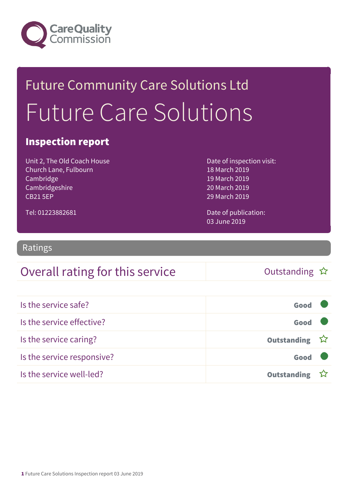

## Future Community Care Solutions Ltd Future Care Solutions

#### Inspection report

Unit 2, The Old Coach House Church Lane, Fulbourn Cambridge Cambridgeshire CB21 5EP

Date of inspection visit: 18 March 2019 19 March 2019 20 March 2019 29 March 2019

Date of publication: 03 June 2019

Ratings

Tel: 01223882681

#### Overall rating for this service and the Cutstanding  $\hat{x}$

| Is the service safe?       | Good               |  |
|----------------------------|--------------------|--|
| Is the service effective?  | Good               |  |
| Is the service caring?     | Outstanding ☆      |  |
| Is the service responsive? | Good               |  |
| Is the service well-led?   | <b>Outstanding</b> |  |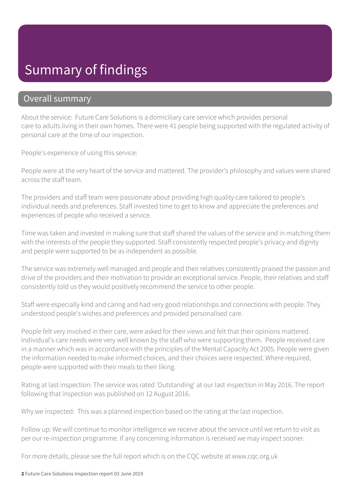### Summary of findings

#### Overall summary

About the service: Future Care Solutions is a domiciliary care service which provides personal care to adults living in their own homes. There were 41 people being supported with the regulated activity of personal care at the time of our inspection.

People's experience of using this service:

People were at the very heart of the service and mattered. The provider's philosophy and values were shared across the staff team.

The providers and staff team were passionate about providing high quality care tailored to people's individual needs and preferences. Staff invested time to get to know and appreciate the preferences and experiences of people who received a service.

Time was taken and invested in making sure that staff shared the values of the service and in matching them with the interests of the people they supported. Staff consistently respected people's privacy and dignity and people were supported to be as independent as possible.

The service was extremely well managed and people and their relatives consistently praised the passion and drive of the providers and their motivation to provide an exceptional service. People, their relatives and staff consistently told us they would positively recommend the service to other people.

Staff were especially kind and caring and had very good relationships and connections with people. They understood people's wishes and preferences and provided personalised care.

People felt very involved in their care, were asked for their views and felt that their opinions mattered. Individual's care needs were very well known by the staff who were supporting them. People received care in a manner which was in accordance with the principles of the Mental Capacity Act 2005. People were given the information needed to make informed choices, and their choices were respected. Where required, people were supported with their meals to their liking.

Rating at last inspection: The service was rated 'Outstanding' at our last inspection in May 2016. The report following that inspection was published on 12 August 2016.

Why we inspected: This was a planned inspection based on the rating at the last inspection.

Follow up: We will continue to monitor intelligence we receive about the service until we return to visit as per our re-inspection programme. If any concerning information is received we may inspect sooner.

For more details, please see the full report which is on the CQC website at www.cqc.org.uk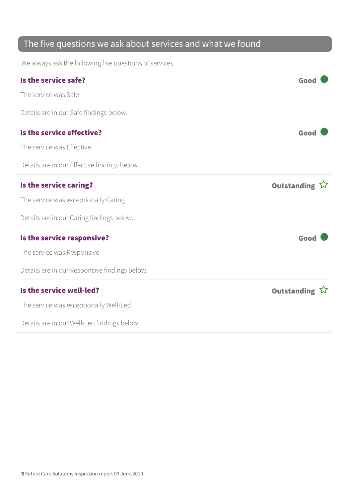#### The five questions we ask about services and what we found

We always ask the following five questions of services.

| Is the service safe?                          | Good          |
|-----------------------------------------------|---------------|
| The service was Safe                          |               |
| Details are in our Safe findings below.       |               |
| Is the service effective?                     | Good          |
| The service was Effective                     |               |
| Details are in our Effective findings below.  |               |
| Is the service caring?                        | Outstanding ☆ |
| The service was exceptionally Caring          |               |
| Details are in our Caring findings below.     |               |
| Is the service responsive?                    | Good          |
| The service was Responsive                    |               |
| Details are in our Responsive findings below. |               |
| Is the service well-led?                      | Outstanding ☆ |
| The service was exceptionally Well-Led        |               |
| Details are in our Well-Led findings below.   |               |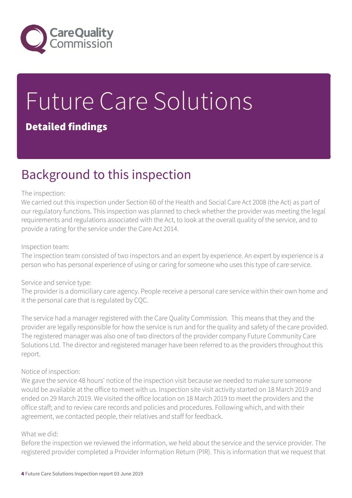

# Future Care Solutions

#### Detailed findings

### Background to this inspection

#### The inspection:

We carried out this inspection under Section 60 of the Health and Social Care Act 2008 (the Act) as part of our regulatory functions. This inspection was planned to check whether the provider was meeting the legal requirements and regulations associated with the Act, to look at the overall quality of the service, and to provide a rating for the service under the Care Act 2014.

#### Inspection team:

The inspection team consisted of two inspectors and an expert by experience. An expert by experience is a person who has personal experience of using or caring for someone who uses this type of care service.

#### Service and service type:

The provider is a domiciliary care agency. People receive a personal care service within their own home and it the personal care that is regulated by CQC.

The service had a manager registered with the Care Quality Commission. This means that they and the provider are legally responsible for how the service is run and for the quality and safety of the care provided. The registered manager was also one of two directors of the provider company Future Community Care Solutions Ltd. The director and registered manager have been referred to as the providers throughout this report.

#### Notice of inspection:

We gave the service 48 hours' notice of the inspection visit because we needed to make sure someone would be available at the office to meet with us. Inspection site visit activity started on 18 March 2019 and ended on 29 March 2019. We visited the office location on 18 March 2019 to meet the providers and the office staff; and to review care records and policies and procedures. Following which, and with their agreement, we contacted people, their relatives and staff for feedback.

#### What we did:

Before the inspection we reviewed the information, we held about the service and the service provider. The registered provider completed a Provider Information Return (PIR). This is information that we request that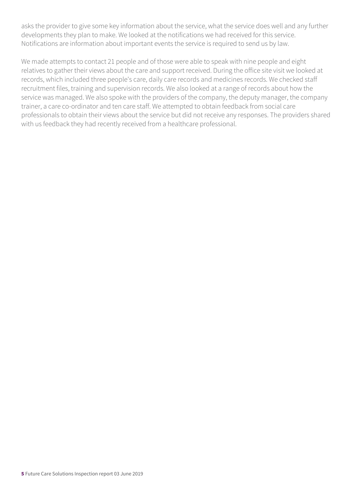asks the provider to give some key information about the service, what the service does well and any further developments they plan to make. We looked at the notifications we had received for this service. Notifications are information about important events the service is required to send us by law.

We made attempts to contact 21 people and of those were able to speak with nine people and eight relatives to gather their views about the care and support received. During the office site visit we looked at records, which included three people's care, daily care records and medicines records. We checked staff recruitment files, training and supervision records. We also looked at a range of records about how the service was managed. We also spoke with the providers of the company, the deputy manager, the company trainer, a care co-ordinator and ten care staff. We attempted to obtain feedback from social care professionals to obtain their views about the service but did not receive any responses. The providers shared with us feedback they had recently received from a healthcare professional.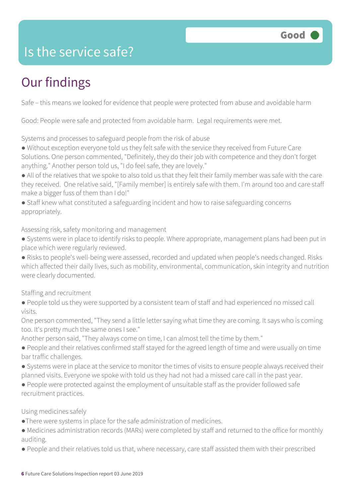### Is the service safe?

### Our findings

Safe – this means we looked for evidence that people were protected from abuse and avoidable harm

Good: People were safe and protected from avoidable harm. Legal requirements were met.

Systems and processes to safeguard people from the risk of abuse

● Without exception everyone told us they felt safe with the service they received from Future Care Solutions. One person commented, "Definitely, they do their job with competence and they don't forget anything." Another person told us, "I do feel safe, they are lovely."

● All of the relatives that we spoke to also told us that they felt their family member was safe with the care they received. One relative said, "[Family member] is entirely safe with them. I'm around too and care staff make a bigger fuss of them than I do!"

● Staff knew what constituted a safeguarding incident and how to raise safeguarding concerns appropriately.

Assessing risk, safety monitoring and management

● Systems were in place to identify risks to people. Where appropriate, management plans had been put in place which were regularly reviewed.

● Risks to people's well-being were assessed, recorded and updated when people's needs changed. Risks which affected their daily lives, such as mobility, environmental, communication, skin integrity and nutrition were clearly documented.

Staffing and recruitment

● People told us they were supported by a consistent team of staff and had experienced no missed call visits.

One person commented, "They send a little letter saying what time they are coming. It says who is coming too. It's pretty much the same ones I see."

Another person said, "They always come on time, I can almost tell the time by them."

- People and their relatives confirmed staff stayed for the agreed length of time and were usually on time bar traffic challenges.
- Systems were in place at the service to monitor the times of visits to ensure people always received their planned visits. Everyone we spoke with told us they had not had a missed care call in the past year.
- People were protected against the employment of unsuitable staff as the provider followed safe recruitment practices.

Using medicines safely

- ●There were systems in place for the safe administration of medicines.
- Medicines administration records (MARs) were completed by staff and returned to the office for monthly auditing.
- People and their relatives told us that, where necessary, care staff assisted them with their prescribed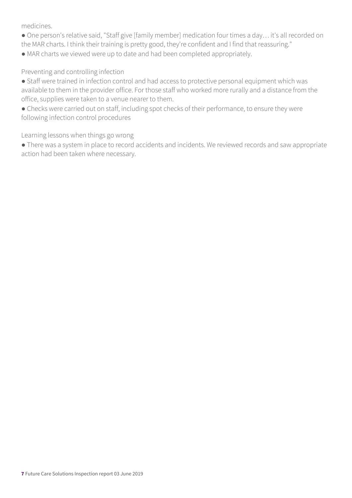medicines.

- One person's relative said, "Staff give [family member] medication four times a day… it's all recorded on the MAR charts. I think their training is pretty good, they're confident and I find that reassuring."
- MAR charts we viewed were up to date and had been completed appropriately.

Preventing and controlling infection

- Staff were trained in infection control and had access to protective personal equipment which was available to them in the provider office. For those staff who worked more rurally and a distance from the office, supplies were taken to a venue nearer to them.
- Checks were carried out on staff, including spot checks of their performance, to ensure they were following infection control procedures

Learning lessons when things go wrong

● There was a system in place to record accidents and incidents. We reviewed records and saw appropriate action had been taken where necessary.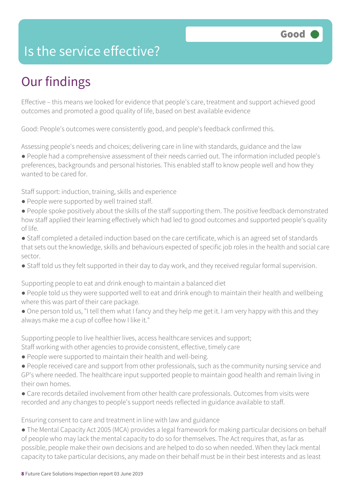### Is the service effective?

### Our findings

Effective – this means we looked for evidence that people's care, treatment and support achieved good outcomes and promoted a good quality of life, based on best available evidence

Good: People's outcomes were consistently good, and people's feedback confirmed this.

Assessing people's needs and choices; delivering care in line with standards, guidance and the law

● People had a comprehensive assessment of their needs carried out. The information included people's preferences, backgrounds and personal histories. This enabled staff to know people well and how they wanted to be cared for.

Staff support: induction, training, skills and experience

- People were supported by well trained staff.
- People spoke positively about the skills of the staff supporting them. The positive feedback demonstrated how staff applied their learning effectively which had led to good outcomes and supported people's quality of life.
- Staff completed a detailed induction based on the care certificate, which is an agreed set of standards that sets out the knowledge, skills and behaviours expected of specific job roles in the health and social care sector.
- Staff told us they felt supported in their day to day work, and they received regular formal supervision.

Supporting people to eat and drink enough to maintain a balanced diet

- People told us they were supported well to eat and drink enough to maintain their health and wellbeing where this was part of their care package.
- One person told us, "I tell them what I fancy and they help me get it. I am very happy with this and they always make me a cup of coffee how I like it."

Supporting people to live healthier lives, access healthcare services and support;

Staff working with other agencies to provide consistent, effective, timely care

- People were supported to maintain their health and well-being.
- People received care and support from other professionals, such as the community nursing service and GP's where needed. The healthcare input supported people to maintain good health and remain living in their own homes.
- Care records detailed involvement from other health care professionals. Outcomes from visits were recorded and any changes to people's support needs reflected in guidance available to staff.

Ensuring consent to care and treatment in line with law and guidance

• The Mental Capacity Act 2005 (MCA) provides a legal framework for making particular decisions on behalf of people who may lack the mental capacity to do so for themselves. The Act requires that, as far as possible, people make their own decisions and are helped to do so when needed. When they lack mental capacity to take particular decisions, any made on their behalf must be in their best interests and as least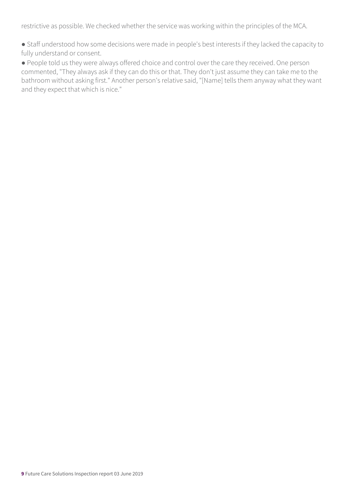restrictive as possible. We checked whether the service was working within the principles of the MCA.

● Staff understood how some decisions were made in people's best interests if they lacked the capacity to fully understand or consent.

● People told us they were always offered choice and control over the care they received. One person commented, "They always ask if they can do this or that. They don't just assume they can take me to the bathroom without asking first." Another person's relative said, "[Name] tells them anyway what they want and they expect that which is nice."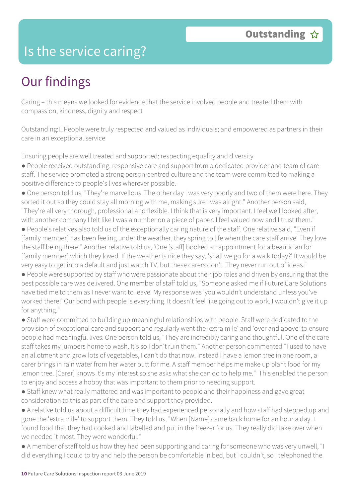#### Is the service caring?

### Our findings

Caring – this means we looked for evidence that the service involved people and treated them with compassion, kindness, dignity and respect

Outstanding:  $\Box$  People were truly respected and valued as individuals; and empowered as partners in their care in an exceptional service

Ensuring people are well treated and supported; respecting equality and diversity

● People received outstanding, responsive care and support from a dedicated provider and team of care staff. The service promoted a strong person-centred culture and the team were committed to making a positive difference to people's lives wherever possible.

● One person told us, "They're marvellous. The other day I was very poorly and two of them were here. They sorted it out so they could stay all morning with me, making sure I was alright." Another person said, "They're all very thorough, professional and flexible. I think that is very important. I feel well looked after, with another company I felt like I was a number on a piece of paper. I feel valued now and I trust them."

● People's relatives also told us of the exceptionally caring nature of the staff. One relative said, "Even if [family member] has been feeling under the weather, they spring to life when the care staff arrive. They love the staff being there." Another relative told us, 'One [staff] booked an appointment for a beautician for [family member] which they loved. If the weather is nice they say, 'shall we go for a walk today?' It would be very easy to get into a default and just watch TV, but these carers don't. They never run out of ideas."

● People were supported by staff who were passionate about their job roles and driven by ensuring that the best possible care was delivered. One member of staff told us, "Someone asked me if Future Care Solutions have tied me to them as I never want to leave. My response was 'you wouldn't understand unless you've worked there!' Our bond with people is everything. It doesn't feel like going out to work. I wouldn't give it up for anything."

● Staff were committed to building up meaningful relationships with people. Staff were dedicated to the provision of exceptional care and support and regularly went the 'extra mile' and 'over and above' to ensure people had meaningful lives. One person told us, "They are incredibly caring and thoughtful. One of the care staff takes my jumpers home to wash. It's so I don't ruin them." Another person commented "I used to have an allotment and grow lots of vegetables, I can't do that now. Instead I have a lemon tree in one room, a carer brings in rain water from her water butt for me. A staff member helps me make up plant food for my lemon tree. [Carer] knows it's my interest so she asks what she can do to help me." This enabled the person to enjoy and access a hobby that was important to them prior to needing support.

- Staff knew what really mattered and was important to people and their happiness and gave great consideration to this as part of the care and support they provided.
- A relative told us about a difficult time they had experienced personally and how staff had stepped up and gone the 'extra mile' to support them. They told us, "When [Name] came back home for an hour a day. I found food that they had cooked and labelled and put in the freezer for us. They really did take over when we needed it most. They were wonderful."
- A member of staff told us how they had been supporting and caring for someone who was very unwell, "I did everything I could to try and help the person be comfortable in bed, but I couldn't, so I telephoned the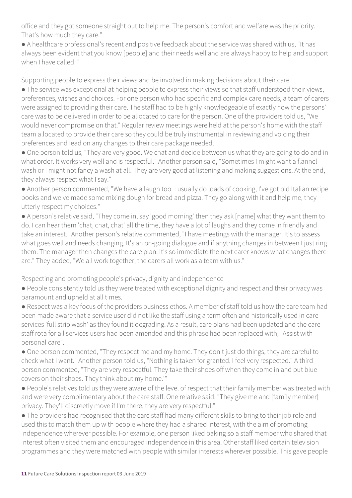office and they got someone straight out to help me. The person's comfort and welfare was the priority. That's how much they care."

● A healthcare professional's recent and positive feedback about the service was shared with us, "It has always been evident that you know [people] and their needs well and are always happy to help and support when I have called. "

Supporting people to express their views and be involved in making decisions about their care

● The service was exceptional at helping people to express their views so that staff understood their views, preferences, wishes and choices. For one person who had specific and complex care needs, a team of carers were assigned to providing their care. The staff had to be highly knowledgeable of exactly how the persons' care was to be delivered in order to be allocated to care for the person. One of the providers told us, "We would never compromise on that." Regular review meetings were held at the person's home with the staff team allocated to provide their care so they could be truly instrumental in reviewing and voicing their preferences and lead on any changes to their care package needed.

● One person told us, "They are very good. We chat and decide between us what they are going to do and in what order. It works very well and is respectful." Another person said, "Sometimes I might want a flannel wash or I might not fancy a wash at all! They are very good at listening and making suggestions. At the end, they always respect what I say."

● Another person commented, "We have a laugh too. I usually do loads of cooking, I've got old Italian recipe books and we've made some mixing dough for bread and pizza. They go along with it and help me, they utterly respect my choices."

● A person's relative said, "They come in, say 'good morning' then they ask [name] what they want them to do. I can hear them 'chat, chat, chat' all the time, they have a lot of laughs and they come in friendly and take an interest." Another person's relative commented, "I have meetings with the manager. It's to assess what goes well and needs changing. It's an on-going dialogue and if anything changes in between I just ring them. The manager then changes the care plan. It's so immediate the next carer knows what changes there are." They added, "We all work together, the carers all work as a team with us."

Respecting and promoting people's privacy, dignity and independence

● People consistently told us they were treated with exceptional dignity and respect and their privacy was paramount and upheld at all times.

● Respect was a key focus of the providers business ethos. A member of staff told us how the care team had been made aware that a service user did not like the staff using a term often and historically used in care services 'full strip wash' as they found it degrading. As a result, care plans had been updated and the care staff rota for all services users had been amended and this phrase had been replaced with, "Assist with personal care".

● One person commented, "They respect me and my home. They don't just do things, they are careful to check what I want." Another person told us, "Nothing is taken for granted. I feel very respected." A third person commented, "They are very respectful. They take their shoes off when they come in and put blue covers on their shoes. They think about my home.'"

● People's relatives told us they were aware of the level of respect that their family member was treated with and were very complimentary about the care staff. One relative said, "They give me and [family member] privacy. They'll discreetly move if I'm there, they are very respectful."

● The providers had recognised that the care staff had many different skills to bring to their job role and used this to match them up with people where they had a shared interest, with the aim of promoting independence wherever possible. For example, one person liked baking so a staff member who shared that interest often visited them and encouraged independence in this area. Other staff liked certain television programmes and they were matched with people with similar interests wherever possible. This gave people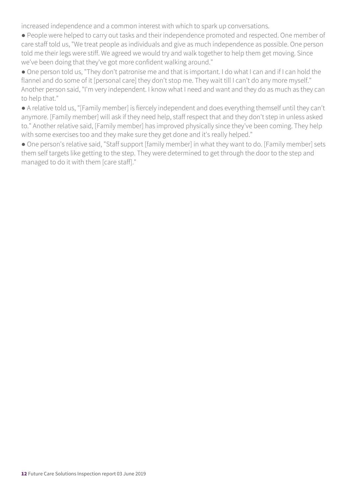increased independence and a common interest with which to spark up conversations.

● People were helped to carry out tasks and their independence promoted and respected. One member of care staff told us, "We treat people as individuals and give as much independence as possible. One person told me their legs were stiff. We agreed we would try and walk together to help them get moving. Since we've been doing that they've got more confident walking around."

● One person told us, "They don't patronise me and that is important. I do what I can and if I can hold the flannel and do some of it [personal care] they don't stop me. They wait till I can't do any more myself." Another person said, "I'm very independent. I know what I need and want and they do as much as they can to help that."

● A relative told us, "[Family member] is fiercely independent and does everything themself until they can't anymore. [Family member] will ask if they need help, staff respect that and they don't step in unless asked to." Another relative said, [Family member] has improved physically since they've been coming. They help with some exercises too and they make sure they get done and it's really helped."

● One person's relative said, "Staff support [family member] in what they want to do. [Family member] sets them self targets like getting to the step. They were determined to get through the door to the step and managed to do it with them [care staff]."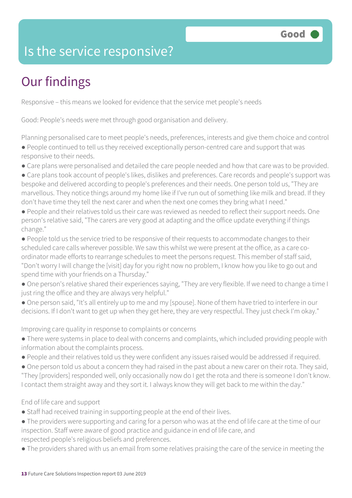### Is the service responsive?

### Our findings

Responsive – this means we looked for evidence that the service met people's needs

Good: People's needs were met through good organisation and delivery.

Planning personalised care to meet people's needs, preferences, interests and give them choice and control ● People continued to tell us they received exceptionally person-centred care and support that was responsive to their needs.

- Care plans were personalised and detailed the care people needed and how that care was to be provided.
- Care plans took account of people's likes, dislikes and preferences. Care records and people's support was bespoke and delivered according to people's preferences and their needs. One person told us, "They are marvellous. They notice things around my home like if I've run out of something like milk and bread. If they don't have time they tell the next carer and when the next one comes they bring what I need."
- People and their relatives told us their care was reviewed as needed to reflect their support needs. One person's relative said, "The carers are very good at adapting and the office update everything if things change."
- People told us the service tried to be responsive of their requests to accommodate changes to their scheduled care calls wherever possible. We saw this whilst we were present at the office, as a care coordinator made efforts to rearrange schedules to meet the persons request. This member of staff said, "Don't worry I will change the [visit] day for you right now no problem, I know how you like to go out and spend time with your friends on a Thursday."
- One person's relative shared their experiences saying, "They are very flexible. If we need to change a time I just ring the office and they are always very helpful."
- One person said, "It's all entirely up to me and my [spouse]. None of them have tried to interfere in our decisions. If I don't want to get up when they get here, they are very respectful. They just check I'm okay."

Improving care quality in response to complaints or concerns

- There were systems in place to deal with concerns and complaints, which included providing people with information about the complaints process.
- People and their relatives told us they were confident any issues raised would be addressed if required.
- One person told us about a concern they had raised in the past about a new carer on their rota. They said, "They [providers] responded well, only occasionally now do I get the rota and there is someone I don't know. I contact them straight away and they sort it. I always know they will get back to me within the day."

#### End of life care and support

- Staff had received training in supporting people at the end of their lives.
- The providers were supporting and caring for a person who was at the end of life care at the time of our inspection. Staff were aware of good practice and guidance in end of life care, and respected people's religious beliefs and preferences.
- The providers shared with us an email from some relatives praising the care of the service in meeting the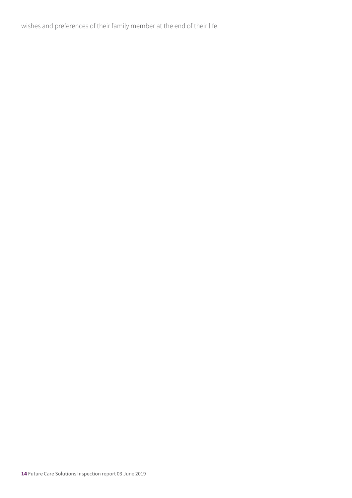wishes and preferences of their family member at the end of their life.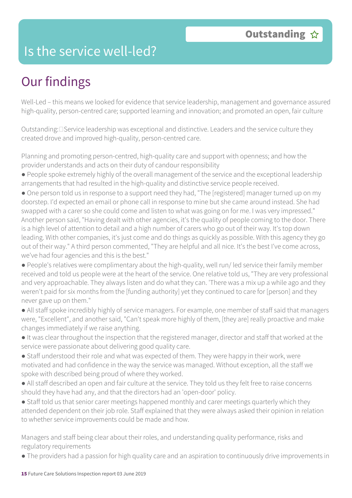#### Is the service well-led?

### Our findings

Well-Led – this means we looked for evidence that service leadership, management and governance assured high-quality, person-centred care; supported learning and innovation; and promoted an open, fair culture

Outstanding: **Service leadership was exceptional and distinctive.** Leaders and the service culture they created drove and improved high-quality, person-centred care.

Planning and promoting person-centred, high-quality care and support with openness; and how the provider understands and acts on their duty of candour responsibility

- People spoke extremely highly of the overall management of the service and the exceptional leadership arrangements that had resulted in the high-quality and distinctive service people received.
- One person told us in response to a support need they had, "The [registered] manager turned up on my doorstep. I'd expected an email or phone call in response to mine but she came around instead. She had swapped with a carer so she could come and listen to what was going on for me. I was very impressed." Another person said, "Having dealt with other agencies, it's the quality of people coming to the door. There is a high level of attention to detail and a high number of carers who go out of their way. It's top down leading. With other companies, it's just come and do things as quickly as possible. With this agency they go out of their way." A third person commented, "They are helpful and all nice. It's the best I've come across, we've had four agencies and this is the best."
- People's relatives were complimentary about the high-quality, well run/ led service their family member received and told us people were at the heart of the service. One relative told us, "They are very professional and very approachable. They always listen and do what they can. 'There was a mix up a while ago and they weren't paid for six months from the [funding authority] yet they continued to care for [person] and they never gave up on them."
- All staff spoke incredibly highly of service managers. For example, one member of staff said that managers were, "Excellent", and another said, "Can't speak more highly of them, [they are] really proactive and make changes immediately if we raise anything.
- It was clear throughout the inspection that the registered manager, director and staff that worked at the service were passionate about delivering good quality care.
- Staff understood their role and what was expected of them. They were happy in their work, were motivated and had confidence in the way the service was managed. Without exception, all the staff we spoke with described being proud of where they worked.
- All staff described an open and fair culture at the service. They told us they felt free to raise concerns should they have had any, and that the directors had an 'open-door' policy.
- Staff told us that senior carer meetings happened monthly and carer meetings quarterly which they attended dependent on their job role. Staff explained that they were always asked their opinion in relation to whether service improvements could be made and how.

Managers and staff being clear about their roles, and understanding quality performance, risks and regulatory requirements

● The providers had a passion for high quality care and an aspiration to continuously drive improvements in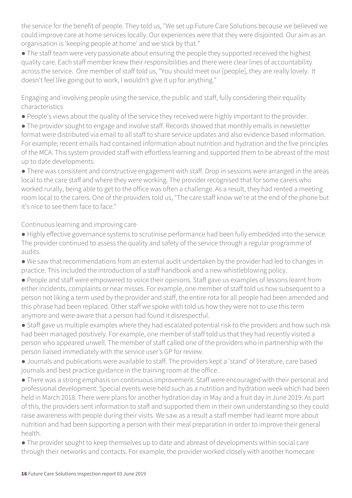the service for the benefit of people. They told us, "We set up Future Care Solutions because we believed we could improve care at home services locally. Our experiences were that they were disjointed. Our aim as an organisation is 'keeping people at home' and we stick by that."

• The staff team were very passionate about ensuring the people they supported received the highest quality care. Each staff member knew their responsibilities and there were clear lines of accountability across the service. One member of staff told us, "You should meet our [people], they are really lovely. It doesn't feel like going out to work, I wouldn't give it up for anything."

Engaging and involving people using the service, the public and staff, fully considering their equality characteristics

● People's views about the quality of the service they received were highly important to the provider.

● The provider sought to engage and involve staff. Records showed that monthly emails in newsletter format were distributed via email to all staff to share service updates and also evidence based information. For example; recent emails had contained information about nutrition and hydration and the five principles of the MCA. This system provided staff with effortless learning and supported them to be abreast of the most up to date developments.

● There was consistent and constructive engagement with staff. Drop in sessions were arranged in the areas local to the care staff and where they were working. The provider recognised that for some carers who worked rurally, being able to get to the office was often a challenge. As a result, they had rented a meeting room local to the carers. One of the providers told us, "The care staff know we're at the end of the phone but it's nice to see them face to face."

Continuous learning and improving care

- Highly effective governance systems to scrutinise performance had been fully embedded into the service. The provider continued to assess the quality and safety of the service through a regular programme of audits.
- We saw that recommendations from an external audit undertaken by the provider had led to changes in practice. This included the introduction of a staff handbook and a new whistleblowing policy.
- People and staff were empowered to voice their opinions. Staff gave us examples of lessons learnt from either incidents, complaints or near misses. For example, one member of staff told us how subsequent to a person not liking a term used by the provider and staff, the entire rota for all people had been amended and this phrase had been replaced. Other staff we spoke with told us how they were not to use this term anymore and were aware that a person had found it disrespectful.

● Staff gave us multiple examples where they had escalated potential risk to the providers and how such risk had been managed positively. For example, one member of staff told us that they had recently visited a person who appeared unwell. The member of staff called one of the providers who in partnership with the person liaised immediately with the service user's GP for review.

● Journals and publications were available to staff. The providers kept a 'stand' of literature, care based journals and best practice guidance in the training room at the office.

● There was a strong emphasis on continuous improvement. Staff were encouraged with their personal and professional development. Special events were held such as a nutrition and hydration week which had been held in March 2018. There were plans for another hydration day in May and a fruit day in June 2019. As part of this, the providers sent information to staff and supported them in their own understanding so they could raise awareness with people during their visits. We saw as a result a staff member had learnt more about nutrition and had been supporting a person with their meal preparation in order to improve their general health.

● The provider sought to keep themselves up to date and abreast of developments within social care through their networks and contacts. For example, the provider worked closely with another homecare